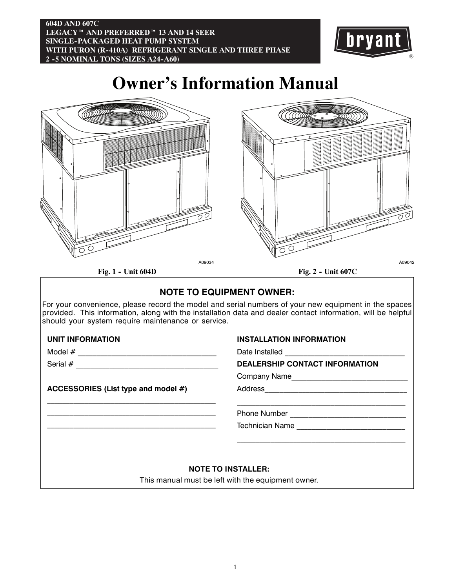### **604D AND 607C LEGACY<sup>™</sup> AND PREFERRED<sup>™</sup> 13 AND 14 SEER SINGLE--PACKAGED HEAT PUMP SYSTEM WITH PURON (R--410A) REFRIGERANT SINGLE AND THREE PHASE 2 -5 NOMINAL TONS (SIZES A24-A60)**



**Owner's Information Manual**





**Fig. 1 - Unit 604D** 

**Fig. 2 - Unit 607C** 

## **NOTE TO EQUIPMENT OWNER:**

For your convenience, please record the model and serial numbers of your new equipment in the spaces provided. This information, along with the installation data and dealer contact information, will be helpful should your system require maintenance or service.

### **UNIT INFORMATION**

Model  $#_z$ 

Serial  $#$   $\qquad$ 

**ACCESSORIES (List type and model #)**

\_\_\_\_\_\_\_\_\_\_\_\_\_\_\_\_\_\_\_\_\_\_\_\_\_\_\_\_\_\_\_\_\_\_\_\_\_\_\_\_\_\_\_\_\_ \_\_\_\_\_\_\_\_\_\_\_\_\_\_\_\_\_\_\_\_\_\_\_\_\_\_\_\_\_\_\_\_\_\_\_\_\_\_\_\_\_\_\_\_\_ \_\_\_\_\_\_\_\_\_\_\_\_\_\_\_\_\_\_\_\_\_\_\_\_\_\_\_\_\_\_\_\_\_\_\_\_\_\_\_\_\_\_\_\_\_

### **INSTALLATION INFORMATION**

Date Installed

### **DEALERSHIP CONTACT INFORMATION**

Company Name\_\_\_\_\_\_\_\_\_\_\_\_\_\_\_\_\_\_\_\_\_\_\_\_\_\_\_\_\_\_\_

Address\_\_\_\_\_\_\_\_\_\_\_\_\_\_\_\_\_\_\_\_\_\_\_\_\_\_\_\_\_\_\_\_\_\_\_\_\_\_

### Phone Number \_\_\_\_\_\_\_\_\_\_\_\_\_\_\_\_\_\_\_\_\_\_\_\_\_\_\_\_\_\_\_

Technician Name \_\_\_\_\_\_\_\_\_\_\_\_\_\_\_\_\_\_\_\_\_\_\_\_\_\_\_\_\_

### **NOTE TO INSTALLER:**

This manual must be left with the equipment owner.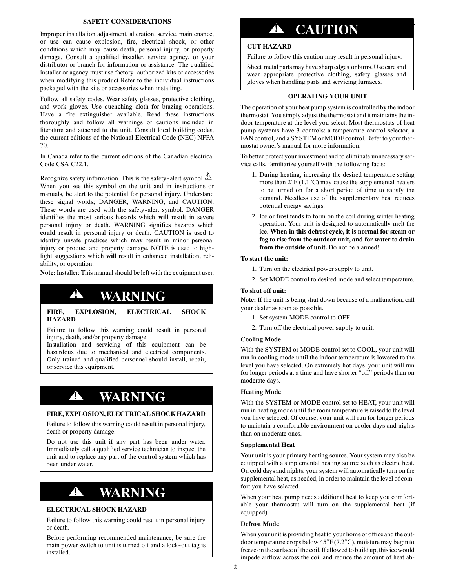### **SAFETY CONSIDERATIONS**

Improper installation adjustment, alteration, service, maintenance, or use can cause explosion, fire, electrical shock, or other conditions which may cause death, personal injury, or property damage. Consult a qualified installer, service agency, or your distributor or branch for information or assistance. The qualified installer or agency must use factory-authorized kits or accessories when modifying this product Refer to the individual instructions packaged with the kits or accessories when installing.

Follow all safety codes. Wear safety glasses, protective clothing, and work gloves. Use quenching cloth for brazing operations. Have a fire extinguisher available. Read these instructions thoroughly and follow all warnings or cautions included in literature and attached to the unit. Consult local building codes, the current editions of the National Electrical Code (NEC) NFPA 70.

In Canada refer to the current editions of the Canadian electrical Code CSA C22.1.

Recognize safety information. This is the safety-alert symbol  $\mathcal{L}$ . When you see this symbol on the unit and in instructions or manuals, be alert to the potential for personal injury. Understand these signal words; DANGER, WARNING, and CAUTION. These words are used with the safety-alert symbol. DANGER identifies the most serious hazards which **will** result in severe personal injury or death. WARNING signifies hazards which **could** result in personal injury or death. CAUTION is used to identify unsafe practices which **may** result in minor personal injury or product and property damage. NOTE is used to highlight suggestions which **will** result in enhanced installation, reliability, or operation.

**Note:** Installer: This manual should be left with the equipment user.

# **! WARNING**

### **FIRE, EXPLOSION, ELECTRICAL SHOCK HAZARD**

Failure to follow this warning could result in personal injury, death, and/or property damage.

Installation and servicing of this equipment can be hazardous due to mechanical and electrical components. Only trained and qualified personnel should install, repair, or service this equipment.

# **! WARNING**

### **FIRE,EXPLOSION,ELECTRICAL SHOCK HAZARD**

Failure to follow this warning could result in personal injury, death or property damage.

Do not use this unit if any part has been under water. Immediately call a qualified service technician to inspect the unit and to replace any part of the control system which has been under water.

# **! WARNING**

### **ELECTRICAL SHOCK HAZARD**

Failure to follow this warning could result in personal injury or death.

Before performing recommended maintenance, be sure the main power switch to unit is turned off and a lock-out tag is installed.

# **! CAUTION**

### **CUT HAZARD**

Failure to follow this caution may result in personal injury.

Sheet metal parts may have sharp edges or burrs. Use care and wear appropriate protective clothing, safety glasses and gloves when handling parts and servicing furnaces.

### **OPERATING YOUR UNIT**

The operation of your heat pump system is controlled by the indoor thermostat. You simply adjust the thermostat and it maintains the indoor temperature at the level you select. Most thermostats of heat pump systems have 3 controls: a temperature control selector, a FAN control, and a SYSTEM or MODE control. Refer to your thermostat owner's manual for more information.

To better protect your investment and to eliminate unnecessary service calls, familiarize yourself with the following facts:

- 1. During heating, increasing the desired temperature setting more than 2°F (1.1°C) may cause the supplemental heaters to be turned on for a short period of time to satisfy the demand. Needless use of the supplementary heat reduces potential energy savings.
- 2. Ice or frost tends to form on the coil during winter heating operation. Your unit is designed to automatically melt the ice. **When in this defrost cycle, it is normal for steam or fog to rise from the outdoor unit, and for water to drain from the outside of unit.** Do not be alarmed!

### **To start the unit:**

- 1. Turn on the electrical power supply to unit.
- 2. Set MODE control to desired mode and select temperature.

### **To shut off unit:**

**Note:** If the unit is being shut down because of a malfunction, call your dealer as soon as possible.

- 1. Set system MODE control to OFF.
- 2. Turn off the electrical power supply to unit.

### **Cooling Mode**

With the SYSTEM or MODE control set to COOL, your unit will run in cooling mode until the indoor temperature is lowered to the level you have selected. On extremely hot days, your unit will run for longer periods at a time and have shorter "off" periods than on moderate days.

### **Heating Mode**

With the SYSTEM or MODE control set to HEAT, your unit will run in heating mode until the room temperature is raised to the level you have selected. Of course, your unit will run for longer periods to maintain a comfortable environment on cooler days and nights than on moderate ones.

#### **Supplemental Heat**

Your unit is your primary heating source. Your system may also be equipped with a supplemental heating source such as electric heat. On cold days and nights, your system will automatically turn on the supplemental heat, as needed, in order to maintain the level of comfort you have selected.

When your heat pump needs additional heat to keep you comfortable your thermostat will turn on the supplemental heat (if equipped).

### **Defrost Mode**

When your unit is providing heat to your home or office and the outdoor temperature drops below 45°F (7.2°C), moisture may begin to freeze on the surface of the coil. If allowed to build up,this ice would impede airflow across the coil and reduce the amount of heat ab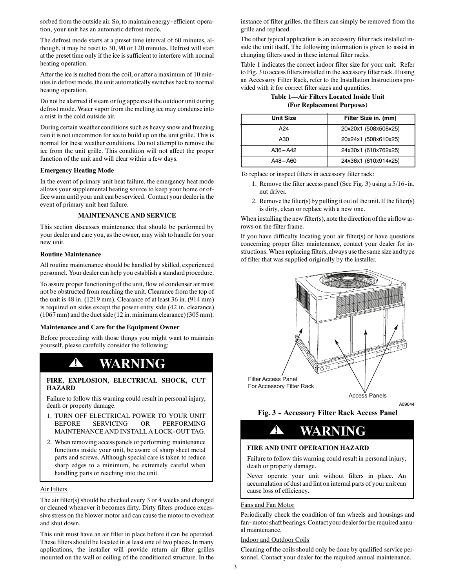sorbed from the outside air. So, to maintain energy-efficient operation, your unit has an automatic defrost mode.

The defrost mode starts at a preset time interval of 60 minutes, although, it may be reset to 30, 90 or 120 minutes. Defrost will start at the preset time only if the ice is sufficient to interfere with normal heating operation.

After the ice is melted from the coil, or after a maximum of 10 minutes in defrost mode, the unit automatically switches back to normal heating operation.

Do not be alarmed if steam or fog appears at the outdoor unit during defrost mode. Water vapor from the melting ice may condense into a mist in the cold outside air.

During certain weather conditions such as heavy snow and freezing rain it is not uncommon for ice to build up on the unit grille. This is normal for these weather conditions. Do not attempt to remove the ice from the unit grille. This condition will not affect the proper function of the unit and will clear within a few days.

### **Emergency Heating Mode**

In the event of primary unit heat failure, the emergency heat mode allows your supplemental heating source to keep your home or office warm until your unit can be serviced. Contact your dealer in the event of primary unit heat failure.

### **MAINTENANCE AND SERVICE**

This section discusses maintenance that should be performed by your dealer and care you, as the owner, may wish to handle for your new unit.

#### **Routine Maintenance**

All routine maintenance should be handled by skilled, experienced personnel. Your dealer can help you establish a standard procedure.

To assure proper functioning of the unit, flow of condenser air must not be obstructed from reaching the unit. Clearance from the top of the unit is 48 in. (1219 mm). Clearance of at least 36 in. (914 mm) is required on sides except the power entry side (42 in. clearance) (1067 mm) and the duct side (12 in. minimum clearance) (305 mm).

#### **Maintenance and Care for the Equipment Owner**

Before proceeding with those things you might want to maintain yourself, please carefully consider the following:

## **! WARNING**

#### **FIRE, EXPLOSION, ELECTRICAL SHOCK, CUT HAZARD**

Failure to follow this warning could result in personal injury, death or property damage.

- 1. TURN OFF ELECTRICAL POWER TO YOUR UNIT BEFORE SERVICING OR PERFORMING MAINTENANCE AND INSTALL A LOCK-OUT TAG.
- 2. When removing access panels or performing maintenance functions inside your unit, be aware of sharp sheet metal parts and screws. Although special care is taken to reduce sharp edges to a minimum, be extremely careful when handling parts or reaching into the unit.

### Air Filters

The air filter(s) should be checked every 3 or 4 weeks and changed or cleaned whenever it becomes dirty. Dirty filters produce excessive stress on the blower motor and can cause the motor to overheat and shut down.

This unit must have an air filter in place before it can be operated. These filters should be located in at least one of two places. In many applications, the installer will provide return air filter grilles mounted on the wall or ceiling of the conditioned structure. In the

instance of filter grilles, the filters can simply be removed from the grille and replaced.

The other typical application is an accessory filter rack installed inside the unit itself. The following information is given to assist in changing filters used in these internal filter racks.

Table 1 indicates the correct indoor filter size for your unit. Refer to Fig. 3 to access filters installed in the accessory filter rack. If using an Accessory Filter Rack, refer to the Installation Instructions provided with it for correct filter sizes and quantities.

**Table 1—Air Filters Located Inside Unit (For Replacement Purposes)**

| Unit Size   | Filter Size in. (mm) |
|-------------|----------------------|
| A24         | 20x20x1 (508x508x25) |
| A30         | 20x24x1 (508x610x25) |
| $A36 - A42$ | 24x30x1 (610x762x25) |
| A48-A60     | 24x36x1 (610x914x25) |

To replace or inspect filters in accessory filter rack:

- 1. Remove the filter access panel (See Fig. 3) using a 5/16-in. nut driver.
- 2. Remove the filter(s) by pulling it out of the unit. If the filter(s) is dirty, clean or replace with a new one.

When installing the new filter(s), note the direction of the airflow arrows on the filter frame.

If you have difficulty locating your air filter(s) or have questions concerning proper filter maintenance, contact your dealer for instructions.When replacing filters, always use the same size and type of filter that was supplied originally by the installer.



A09044

Fig. 3 - Accessory Filter Rack Access Panel

# **! WARNING**

### **FIRE AND UNIT OPERATION HAZARD**

Failure to follow this warning could result in personal injury, death or property damage.

Never operate your unit without filters in place. An accumulation of dust and lint on internal parts of your unit can cause loss of efficiency.

### Fans and Fan Motor

Periodically check the condition of fan wheels and housings and fan--motor shaft bearings.Contact your dealer forthe required annual maintenance.

### Indoor and Outdoor Coils

Cleaning of the coils should only be done by qualified service personnel. Contact your dealer for the required annual maintenance.